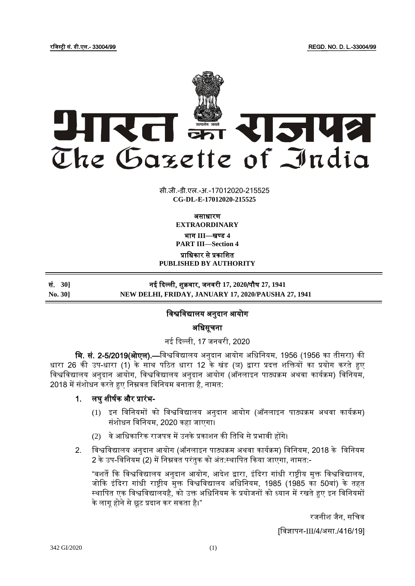

सी.जी.-डी.एल.-अ.-17012020-215525 **xxxGIDExxx CG-DL-E-17012020-215525**

असाधारण

**EXTRAORDINARY**

भाग **III**—खण् ड **4**

**PART III—Section 4**

प्राजधकार से प्रकाजित

**PUBLISHED BY AUTHORITY**

| सं. 30]        | नई दिल्ली, शुक्रवार, जनवरी 17, 2020/पौष 27, 1941    |
|----------------|-----------------------------------------------------|
| <b>No. 301</b> | NEW DELHI, FRIDAY, JANUARY 17, 2020/PAUSHA 27, 1941 |

# जिश्वजिद्यालय अनुदान आयोग

अजधसूचना

# नई ददल्ली, 17 जनिरी, 2020

मि. सं. 2-5/2019(ओएल).—विश्वविद्यालय अनुदान आयोग अधिनियम, 1956 (1956 का तीसरा) की धारा 26 की उप-धारा (1) के साथ पठठत धारा 12 के खंड (ञ) द्वारा प्रदत्त िजियों का प्रयोग करते हुए विश्वविद्यालय अनुदान आयोग, विश्वविद्यालय अनुदान आयोग (ऑनलाइन पाठ्यक्रम अथवा कार्यक्रम) विनियम, 2018 में संशोधन करते हुए निम्नवत विनियम बनाता है, नामत:

# 1. लघु िीर्यक और प्रारंभ-

- (1) इन विनियमों को विश्वविद्यालय अनुदान आयोग (ऑनलाइन पाठ्यक्रम अथवा कार्यक्रम) संशोधन विनियम, 2020 कहा जाएगा।
- (2) वे आधिकारिक राजपत्र में उनके प्रकाशन की तिथि से प्रभावी होंगे।
- 2. विश्वविद्यालय अनुदान आयोग (ऑनलाइन पाठ्यक्रम अथवा कार्यक्रम) विनियम, 2018 के विनियम 2 के उप-विनियम (2) में निम्नवत परंतुक को अंत:स्थापित किया जाएगा, नामत:-

"बशर्ते कि विश्वविद्यालय अनुदान आयोग, आदेश द्वारा, इंदिरा गांधी राष्ट्रीय मुक्त विश्वविद्यालय, जोकि इंदिरा गांधी राष्ट्रीय मुक्त विश्वविद्यालय अधिनियम, 1985 (1985 का 50वां) के तहत स्थापित एक विश्वविद्यालयहै, को उक्त अधिनियम के प्रयोजनों को ध्यान में रखते हुए इन विनियमों के लागू होने से छूट प्रदान कर सकता है।"

रजनीश जैन, सचिव

[जिज्ञापन-III/4/असा./416/19]